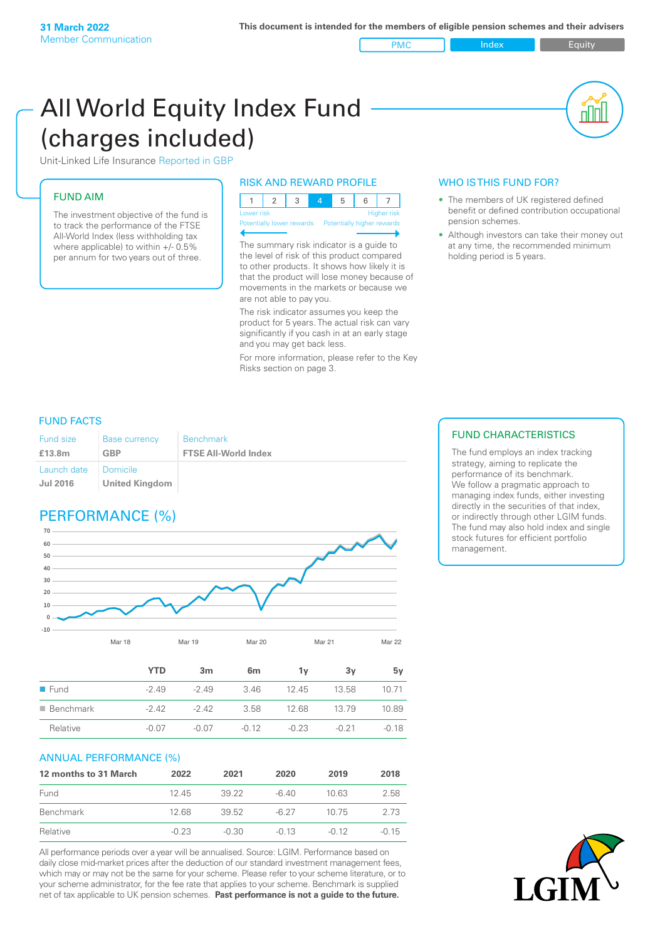PMC Index Index Equity

All World Equity Index Fund (charges included)

Unit-Linked Life Insurance Reported in GBP

### FUND AIM

The investment objective of the fund is to track the performance of the FTSE All-World Index (less withholding tax where applicable) to within +/- 0.5% per annum for two years out of three.

### RISK AND REWARD PROFILE

| Lower risk |  |  | <b>Higher</b> risk |
|------------|--|--|--------------------|

ntially lower rewards Pote

The summary risk indicator is a guide to the level of risk of this product compared to other products. It shows how likely it is that the product will lose money because of movements in the markets or because we are not able to pay you.

The risk indicator assumes you keep the product for 5 years. The actual risk can vary significantly if you cash in at an early stage and you may get back less.

For more information, please refer to the Key Risks section on page 3.

## WHO IS THIS FUND FOR?

• The members of UK registered defined benefit or defined contribution occupational pension schemes.

nl M

• Although investors can take their money out at any time, the recommended minimum holding period is 5 years.

### FUND FACTS

| <b>Fund size</b>               | <b>Base currency</b>                | <b>Benchmark</b>            |
|--------------------------------|-------------------------------------|-----------------------------|
| £13.8m                         | <b>GBP</b>                          | <b>FTSE All-World Index</b> |
| Launch date<br><b>Jul 2016</b> | I Domicile<br><b>United Kingdom</b> |                             |

# PERFORMANCE (%)



|                          | YTD     | 3 <sub>m</sub> | 6m      | 1ν      | 3v      | 5v      |
|--------------------------|---------|----------------|---------|---------|---------|---------|
| $\blacksquare$ Fund      | $-2.49$ | $-249$         | 3.46    | 12.45   | 13.58   | 10.71   |
| $\blacksquare$ Benchmark | $-2.42$ | $-2.42$        | 3.58    | 12.68   | 13.79   | 10.89   |
| Relative                 | $-0.07$ | $-0.07$        | $-0.12$ | $-0.23$ | $-0.21$ | $-0.18$ |

Mar 18 Mar 19 Mar 20 Mar 21 Mar 22

### ANNUAL PERFORMANCE (%)

| 12 months to 31 March | 2022    | 2021    | 2020    | 2019    | 2018    |
|-----------------------|---------|---------|---------|---------|---------|
| Fund                  | 1245    | 39.22   | -6.40   | 10.63   | 2.58    |
| Benchmark             | 12.68   | 39.52   | $-6.27$ | 10.75   | 2.73    |
| Relative              | $-0.23$ | $-0.30$ | $-0.13$ | $-0.12$ | $-0.15$ |

All performance periods over a year will be annualised. Source: LGIM. Performance based on daily close mid-market prices after the deduction of our standard investment management fees, which may or may not be the same for your scheme. Please refer to your scheme literature, or to your scheme administrator, for the fee rate that applies to your scheme. Benchmark is supplied net of tax applicable to UK pension schemes. **Past performance is not a guide to the future.**

### FUND CHARACTERISTICS

The fund employs an index tracking strategy, aiming to replicate the performance of its benchmark. We follow a pragmatic approach to managing index funds, either investing directly in the securities of that index, or indirectly through other LGIM funds. The fund may also hold index and single stock futures for efficient portfolio management.

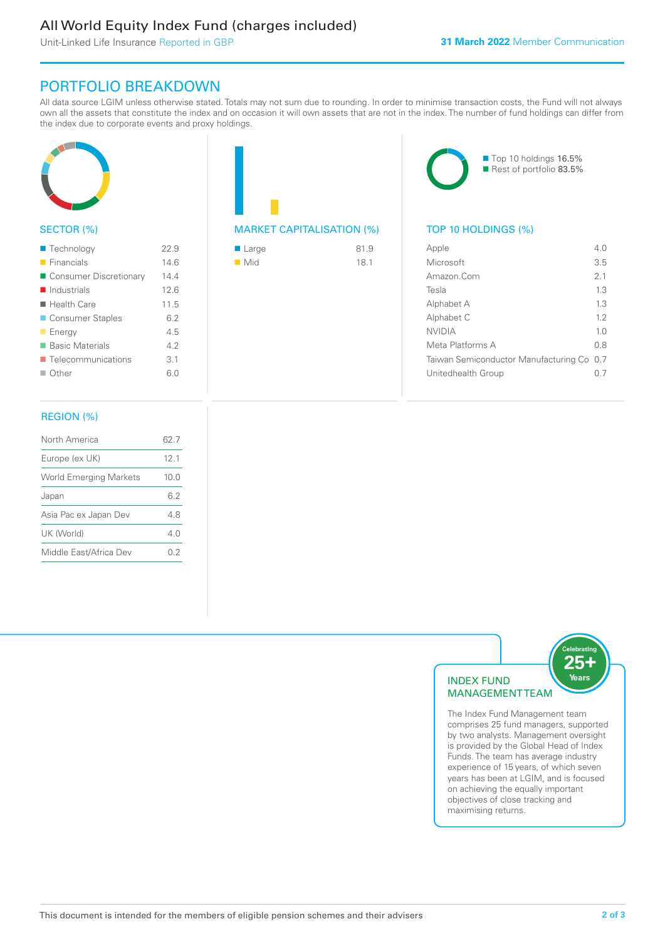# All World Equity Index Fund (charges included)

Unit-Linked Life Insurance Reported in GBP

# PORTFOLIO BREAKDOWN

All data source LGIM unless otherwise stated. Totals may not sum due to rounding. In order to minimise transaction costs, the Fund will not always own all the assets that constitute the index and on occasion it will own assets that are not in the index. The number of fund holdings can differ from the index due to corporate events and proxy holdings.



### SECTOR (%)

| ■ Technology               | 22.9 |
|----------------------------|------|
| $\blacksquare$ Financials  | 146  |
| ■ Consumer Discretionary   | 14.4 |
| $\blacksquare$ Industrials | 12.6 |
| $\blacksquare$ Health Care | 11.5 |
| ■ Consumer Staples         | 6.2  |
| $\blacksquare$ Energy      | 4.5  |
| ■ Basic Materials          | 4.2  |
| ■ Telecommunications       | 3.1  |
| $\blacksquare$ Other       | 6.0  |
|                            |      |

# MARKET CAPITALISATION (%) TOP 10 HOLDINGS (%)

| $\blacksquare$ Large | 81.9 |
|----------------------|------|
| $\blacksquare$ Mid   | 18.1 |



| Apple                                     | 4 N            |
|-------------------------------------------|----------------|
| Microsoft                                 | 3.5            |
| Amazon Com                                | 2 <sub>1</sub> |
| Tesla                                     | 1.3            |
| Alphabet A                                | 13             |
| Alphabet C                                | 12             |
| <b>NVIDIA</b>                             | 1 <sub>0</sub> |
| Meta Platforms A                          | 0 S            |
| Taiwan Semiconductor Manufacturing Co 0.7 |                |
| Unitedhealth Group                        |                |
|                                           |                |

### REGION (%)

| North America                 | 62 7            |
|-------------------------------|-----------------|
| Europe (ex UK)                | 12 <sub>1</sub> |
| <b>World Emerging Markets</b> | 10.0            |
| Japan                         | 62              |
| Asia Pac ex Japan Dev         | 48              |
| UK (World)                    | 4 N             |
| Middle East/Africa Dev        | 02              |
|                               |                 |



The Index Fund Management team comprises 25 fund managers, supported by two analysts. Management oversight is provided by the Global Head of Index Funds. The team has average industry experience of 15 years, of which seven years has been at LGIM, and is focused on achieving the equally important objectives of close tracking and maximising returns.